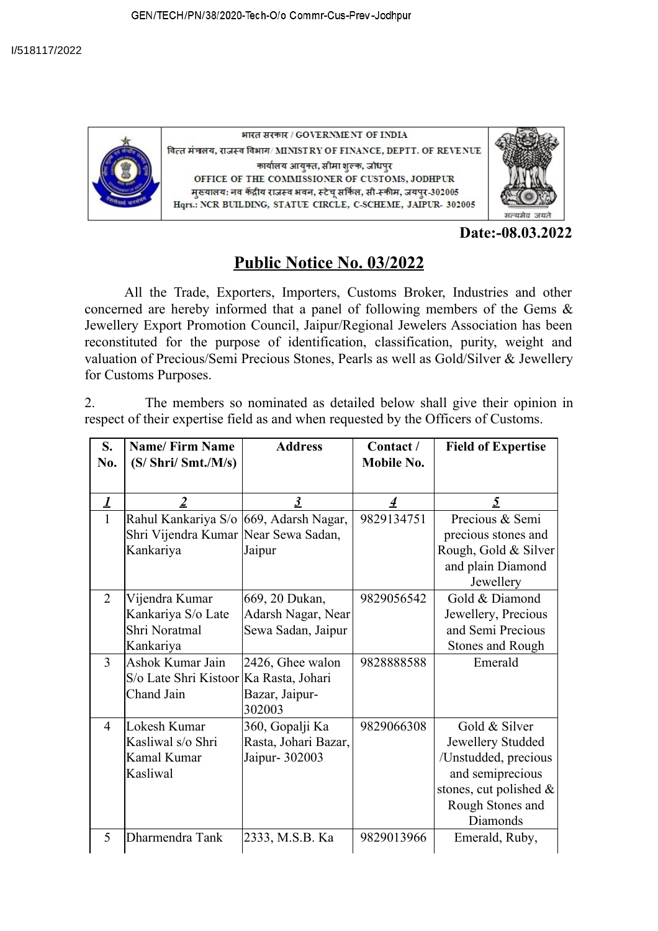

भारत सरकार / GOVERNMENT OF INDIA वित्त मंत्रालय, राजस्व विभाग/MINISTRY OF FINANCE, DEPTT. OF REVENUE कार्यालय आयुक्त, सीमा शुल्क, जोधपुर OFFICE OF THE COMMISSIONER OF CUSTOMS, JODHPUR मुख्यालय: नव केंद्रीय राजस्व भवन, स्टेच् सर्किल, सी-स्कीम, जयपुर-302005 Hqrs.: NCR BUILDING, STATUE CIRCLE, C-SCHEME, JAIPUR- 302005



**Date:-08.03.2022**

## **Public Notice No. 03/2022**

All the Trade, Exporters, Importers, Customs Broker, Industries and other concerned are hereby informed that a panel of following members of the Gems & Jewellery Export Promotion Council, Jaipur/Regional Jewelers Association has been reconstituted for the purpose of identification, classification, purity, weight and valuation of Precious/Semi Precious Stones, Pearls as well as Gold/Silver & Jewellery for Customs Purposes.

2. The members so nominated as detailed below shall give their opinion in respect of their expertise field as and when requested by the Officers of Customs.

| S.<br>No.      | <b>Name/Firm Name</b><br>$(S/\text{Shri}/\text{Smt.}/\text{M/s})$                           | <b>Address</b>                                             | Contact /<br>Mobile No. | <b>Field of Expertise</b>                                                                                                                   |
|----------------|---------------------------------------------------------------------------------------------|------------------------------------------------------------|-------------------------|---------------------------------------------------------------------------------------------------------------------------------------------|
| 1              | $\overline{2}$                                                                              | $\boldsymbol{\beta}$                                       | 4                       | 5                                                                                                                                           |
| 1              | Rahul Kankariya S/o 669, Adarsh Nagar,<br>Shri Vijendra Kumar Near Sewa Sadan,<br>Kankariya | Jaipur                                                     | 9829134751              | Precious & Semi<br>precious stones and<br>Rough, Gold & Silver<br>and plain Diamond<br>Jewellery                                            |
| $\overline{2}$ | Vijendra Kumar<br>Kankariya S/o Late<br>Shri Noratmal<br>Kankariya                          | 669, 20 Dukan,<br>Adarsh Nagar, Near<br>Sewa Sadan, Jaipur | 9829056542              | Gold & Diamond<br>Jewellery, Precious<br>and Semi Precious<br><b>Stones and Rough</b>                                                       |
| $\overline{3}$ | Ashok Kumar Jain<br>S/o Late Shri Kistoor Ka Rasta, Johari<br>Chand Jain                    | 2426, Ghee walon<br>Bazar, Jaipur-<br>302003               | 9828888588              | Emerald                                                                                                                                     |
| $\overline{4}$ | Lokesh Kumar<br>Kasliwal s/o Shri<br>Kamal Kumar<br>Kasliwal                                | 360, Gopalji Ka<br>Rasta, Johari Bazar,<br>Jaipur- 302003  | 9829066308              | Gold & Silver<br>Jewellery Studded<br>/Unstudded, precious<br>and semiprecious<br>stones, cut polished $\&$<br>Rough Stones and<br>Diamonds |
| 5              | Dharmendra Tank                                                                             | 2333, M.S.B. Ka                                            | 9829013966              | Emerald, Ruby,                                                                                                                              |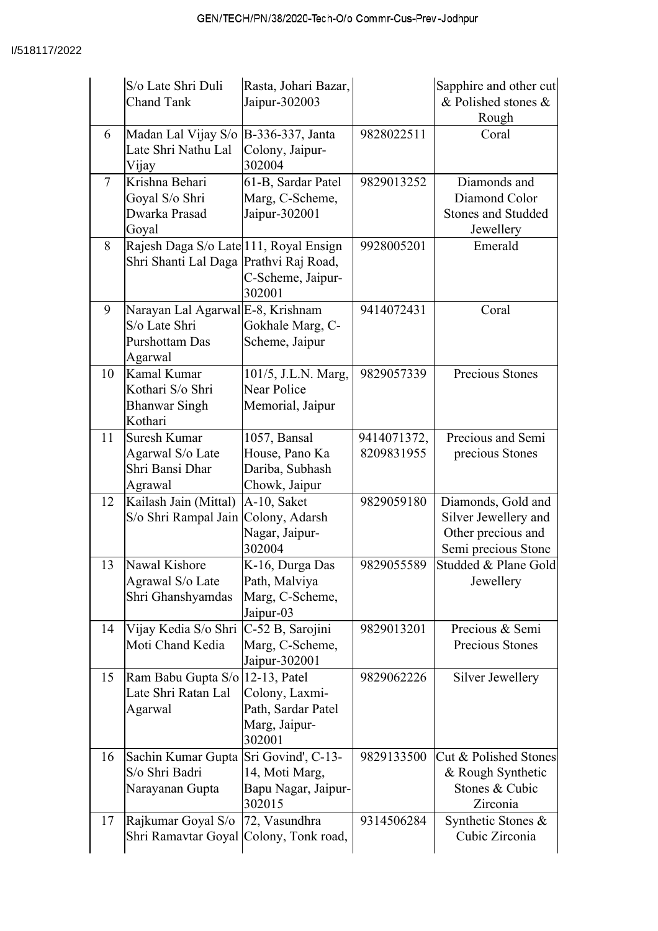|                | S/o Late Shri Duli<br><b>Chand Tank</b>                                          | Rasta, Johari Bazar,<br>Jaipur-302003                              |                           | Sapphire and other cut<br>& Polished stones &<br>Rough                                  |
|----------------|----------------------------------------------------------------------------------|--------------------------------------------------------------------|---------------------------|-----------------------------------------------------------------------------------------|
| 6              | Madan Lal Vijay S/o B-336-337, Janta<br>Late Shri Nathu Lal<br>Vijay             | Colony, Jaipur-<br>302004                                          | 9828022511                | Coral                                                                                   |
| $\overline{7}$ | Krishna Behari<br>Goyal S/o Shri<br>Dwarka Prasad<br>Goyal                       | 61-B, Sardar Patel<br>Marg, C-Scheme,<br>Jaipur-302001             | 9829013252                | Diamonds and<br>Diamond Color<br><b>Stones and Studded</b><br>Jewellery                 |
| 8              | Rajesh Daga S/o Late 111, Royal Ensign<br>Shri Shanti Lal Daga Prathvi Raj Road, | C-Scheme, Jaipur-<br>302001                                        | 9928005201                | Emerald                                                                                 |
| 9              | Narayan Lal Agarwal E-8, Krishnam<br>S/o Late Shri<br>Purshottam Das<br>Agarwal  | Gokhale Marg, C-<br>Scheme, Jaipur                                 | 9414072431                | Coral                                                                                   |
| 10             | Kamal Kumar<br>Kothari S/o Shri<br><b>Bhanwar Singh</b><br>Kothari               | 101/5, J.L.N. Marg,<br><b>Near Police</b><br>Memorial, Jaipur      | 9829057339                | Precious Stones                                                                         |
| 11             | Suresh Kumar<br>Agarwal S/o Late<br>Shri Bansi Dhar<br>Agrawal                   | 1057, Bansal<br>House, Pano Ka<br>Dariba, Subhash<br>Chowk, Jaipur | 9414071372,<br>8209831955 | Precious and Semi<br>precious Stones                                                    |
| 12             | Kailash Jain (Mittal)<br>S/o Shri Rampal Jain Colony, Adarsh                     | A-10, Saket<br>Nagar, Jaipur-<br>302004                            | 9829059180                | Diamonds, Gold and<br>Silver Jewellery and<br>Other precious and<br>Semi precious Stone |
| 13             | Nawal Kishore<br>Agrawal S/o Late<br>Shri Ghanshyamdas                           | K-16, Durga Das<br>Path, Malviya<br>Marg, C-Scheme,<br>Jaipur-03   | 9829055589                | Studded & Plane Gold<br>Jewellery                                                       |
| 14             | Vijay Kedia S/o Shri<br>Moti Chand Kedia                                         | C-52 B, Sarojini<br>Marg, C-Scheme,<br>Jaipur-302001               | 9829013201                | Precious & Semi<br>Precious Stones                                                      |
| 15             | Ram Babu Gupta S/o   12-13, Patel<br>Late Shri Ratan Lal<br>Agarwal              | Colony, Laxmi-<br>Path, Sardar Patel<br>Marg, Jaipur-<br>302001    | 9829062226                | Silver Jewellery                                                                        |
| 16             | Sachin Kumar Gupta Sri Govind', C-13-<br>S/o Shri Badri<br>Narayanan Gupta       | 14, Moti Marg,<br>Bapu Nagar, Jaipur-<br>302015                    | 9829133500                | Cut & Polished Stones<br>& Rough Synthetic<br>Stones & Cubic<br>Zirconia                |
| 17             | Rajkumar Goyal S/o<br>Shri Ramavtar Goyal Colony, Tonk road,                     | 72, Vasundhra                                                      | 9314506284                | Synthetic Stones &<br>Cubic Zirconia                                                    |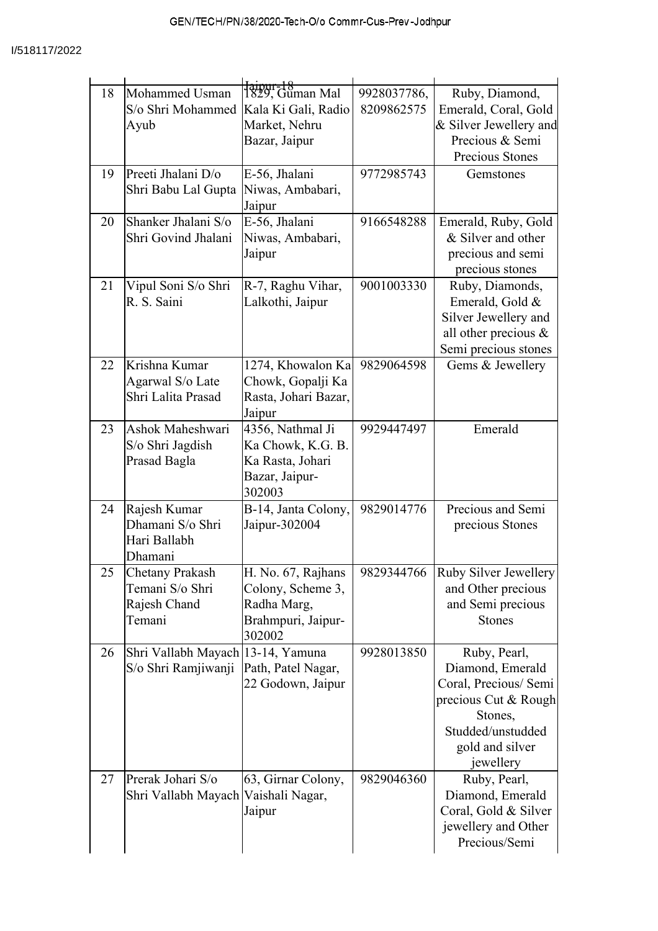| 18 | Mohammed Usman                                           | <del>Jaipur-18</del><br>1829, Guman Mal | 9928037786, | Ruby, Diamond,                     |
|----|----------------------------------------------------------|-----------------------------------------|-------------|------------------------------------|
|    | S/o Shri Mohammed                                        | Kala Ki Gali, Radio                     | 8209862575  | Emerald, Coral, Gold               |
|    | Ayub                                                     | Market, Nehru                           |             | & Silver Jewellery and             |
|    |                                                          | Bazar, Jaipur                           |             | Precious & Semi                    |
|    |                                                          |                                         |             | Precious Stones                    |
| 19 | Preeti Jhalani D/o                                       | E-56, Jhalani                           | 9772985743  | Gemstones                          |
|    | Shri Babu Lal Gupta                                      | Niwas, Ambabari,                        |             |                                    |
|    |                                                          | Jaipur                                  |             |                                    |
| 20 | Shanker Jhalani S/o                                      | E-56, Jhalani                           | 9166548288  | Emerald, Ruby, Gold                |
|    | Shri Govind Jhalani                                      | Niwas, Ambabari,                        |             | & Silver and other                 |
|    |                                                          | Jaipur                                  |             | precious and semi                  |
| 21 |                                                          |                                         | 9001003330  | precious stones                    |
|    | Vipul Soni S/o Shri<br>R. S. Saini                       | R-7, Raghu Vihar,<br>Lalkothi, Jaipur   |             | Ruby, Diamonds,<br>Emerald, Gold & |
|    |                                                          |                                         |             | Silver Jewellery and               |
|    |                                                          |                                         |             | all other precious $\&$            |
|    |                                                          |                                         |             | Semi precious stones               |
| 22 | Krishna Kumar                                            | 1274, Khowalon Ka                       | 9829064598  | Gems & Jewellery                   |
|    | Agarwal S/o Late                                         | Chowk, Gopalji Ka                       |             |                                    |
|    | Shri Lalita Prasad                                       | Rasta, Johari Bazar,                    |             |                                    |
|    |                                                          | Jaipur                                  |             |                                    |
| 23 | Ashok Maheshwari                                         | 4356, Nathmal Ji                        | 9929447497  | Emerald                            |
|    | S/o Shri Jagdish                                         | Ka Chowk, K.G. B.                       |             |                                    |
|    | Prasad Bagla                                             | Ka Rasta, Johari                        |             |                                    |
|    |                                                          | Bazar, Jaipur-<br>302003                |             |                                    |
| 24 | Rajesh Kumar                                             | B-14, Janta Colony,                     | 9829014776  | Precious and Semi                  |
|    | Dhamani S/o Shri                                         | Jaipur-302004                           |             | precious Stones                    |
|    | Hari Ballabh                                             |                                         |             |                                    |
|    | Dhamani                                                  |                                         |             |                                    |
| 25 | <b>Chetany Prakash</b>                                   | H. No. 67, Rajhans                      |             | 9829344766 Ruby Silver Jewellery   |
|    | Temani S/o Shri                                          | Colony, Scheme 3,                       |             | and Other precious                 |
|    | Rajesh Chand                                             | Radha Marg,                             |             | and Semi precious                  |
|    | Temani                                                   | Brahmpuri, Jaipur-                      |             | <b>Stones</b>                      |
|    |                                                          | 302002                                  |             |                                    |
| 26 | Shri Vallabh Mayach 13-14, Yamuna<br>S/o Shri Ramjiwanji | Path, Patel Nagar,                      | 9928013850  | Ruby, Pearl,<br>Diamond, Emerald   |
|    |                                                          | 22 Godown, Jaipur                       |             | Coral, Precious/ Semi              |
|    |                                                          |                                         |             | precious Cut & Rough               |
|    |                                                          |                                         |             | Stones,                            |
|    |                                                          |                                         |             | Studded/unstudded                  |
|    |                                                          |                                         |             | gold and silver                    |
|    |                                                          |                                         |             | jewellery                          |
| 27 | Prerak Johari S/o                                        | 63, Girnar Colony,                      | 9829046360  | Ruby, Pearl,                       |
|    | Shri Vallabh Mayach Vaishali Nagar,                      |                                         |             | Diamond, Emerald                   |
|    |                                                          | Jaipur                                  |             | Coral, Gold & Silver               |
|    |                                                          |                                         |             | jewellery and Other                |
|    |                                                          |                                         |             | Precious/Semi                      |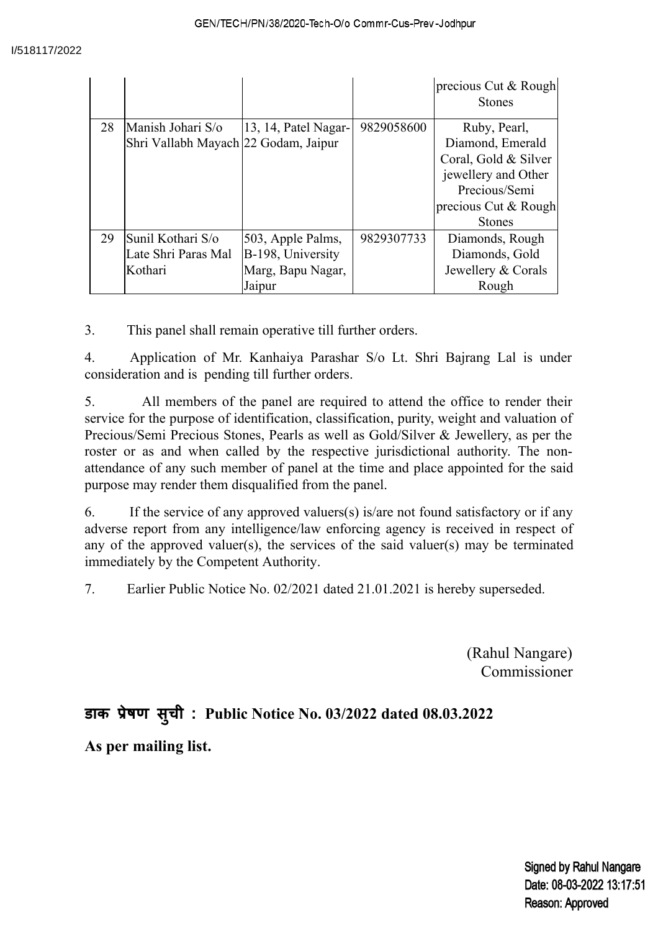|    |                                                           |                                                                       |            | precious Cut & Rough<br><b>Stones</b>                                                                                                     |
|----|-----------------------------------------------------------|-----------------------------------------------------------------------|------------|-------------------------------------------------------------------------------------------------------------------------------------------|
| 28 | Manish Johari S/o<br>Shri Vallabh Mayach 22 Godam, Jaipur | 13, 14, Patel Nagar-                                                  | 9829058600 | Ruby, Pearl,<br>Diamond, Emerald<br>Coral, Gold & Silver<br>jewellery and Other<br>Precious/Semi<br>precious Cut & Rough<br><b>Stones</b> |
| 29 | Sunil Kothari S/o<br>Late Shri Paras Mal<br>Kothari       | 503, Apple Palms,<br>B-198, University<br>Marg, Bapu Nagar,<br>Jaipur | 9829307733 | Diamonds, Rough<br>Diamonds, Gold<br>Jewellery & Corals<br>Rough                                                                          |

3. This panel shall remain operative till further orders.

4. Application of Mr. Kanhaiya Parashar S/o Lt. Shri Bajrang Lal is under consideration and is pending till further orders.

5. All members of the panel are required to attend the office to render their service for the purpose of identification, classification, purity, weight and valuation of Precious/Semi Precious Stones, Pearls as well as Gold/Silver & Jewellery, as per the roster or as and when called by the respective jurisdictional authority. The nonattendance of any such member of panel at the time and place appointed for the said purpose may render them disqualified from the panel.

6. If the service of any approved valuers(s) is/are not found satisfactory or if any adverse report from any intelligence/law enforcing agency is received in respect of any of the approved valuer(s), the services of the said valuer(s) may be terminated immediately by the Competent Authority.

7. Earlier Public Notice No. 02/2021 dated 21.01.2021 is hereby superseded.

(Rahul Nangare) Commissioner

## **डाक ेषण सु ची : Public Notice No. 03/2022 dated 08.03.2022**

**As per mailing list.**